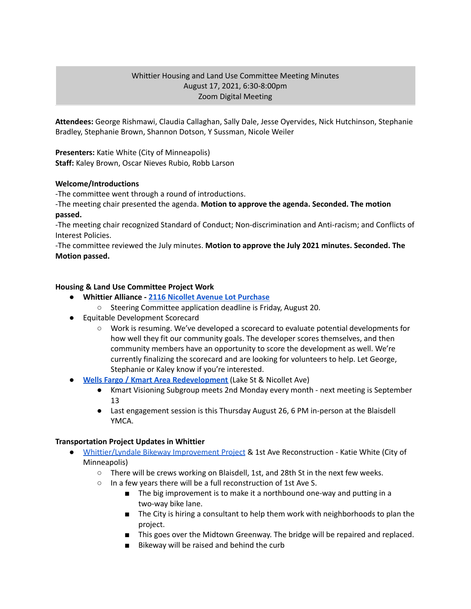# Whittier Housing and Land Use Committee Meeting Minutes August 17, 2021, 6:30-8:00pm Zoom Digital Meeting

**Attendees:** George Rishmawi, Claudia Callaghan, Sally Dale, Jesse Oyervides, Nick Hutchinson, Stephanie Bradley, Stephanie Brown, Shannon Dotson, Y Sussman, Nicole Weiler

**Presenters:** Katie White (City of Minneapolis) **Staff:** Kaley Brown, Oscar Nieves Rubio, Robb Larson

# **Welcome/Introductions**

-The committee went through a round of introductions.

-The meeting chair presented the agenda. **Motion to approve the agenda. Seconded. The motion passed.**

-The meeting chair recognized Standard of Conduct; Non-discrimination and Anti-racism; and Conflicts of Interest Policies.

-The committee reviewed the July minutes. **Motion to approve the July 2021 minutes. Seconded. The Motion passed.**

# **Housing & Land Use Committee Project Work**

- **● Whittier Alliance - 2116 Nicollet Avenue Lot [Purchase](https://www.whittieralliance.org/2116-nicollet-ave-vacant-lot.html)**
	- Steering Committee application deadline is Friday, August 20.
- Equitable Development Scorecard
	- Work is resuming. We've developed a scorecard to evaluate potential developments for how well they fit our community goals. The developer scores themselves, and then community members have an opportunity to score the development as well. We're currently finalizing the scorecard and are looking for volunteers to help. Let George, Stephanie or Kaley know if you're interested.
- **● Wells Fargo / Kmart Area [Redevelopment](https://www.lakeandnicollet.com/)** (Lake St & Nicollet Ave)
	- Kmart Visioning Subgroup meets 2nd Monday every month next meeting is September 13
	- Last engagement session is this Thursday August 26, 6 PM in-person at the Blaisdell YMCA.

### **Transportation Project Updates in Whittier**

- [Whittier/Lyndale](https://www.minneapolismn.gov/government/projects/whittier-lyndale-bikeway/) Bikeway Improvement Project & 1st Ave Reconstruction Katie White (City of Minneapolis)
	- $\circ$  There will be crews working on Blaisdell, 1st, and 28th St in the next few weeks.
	- In a few years there will be a full reconstruction of 1st Ave S.
		- The big improvement is to make it a northbound one-way and putting in a two-way bike lane.
		- The City is hiring a consultant to help them work with neighborhoods to plan the project.
		- This goes over the Midtown Greenway. The bridge will be repaired and replaced.
		- Bikeway will be raised and behind the curb